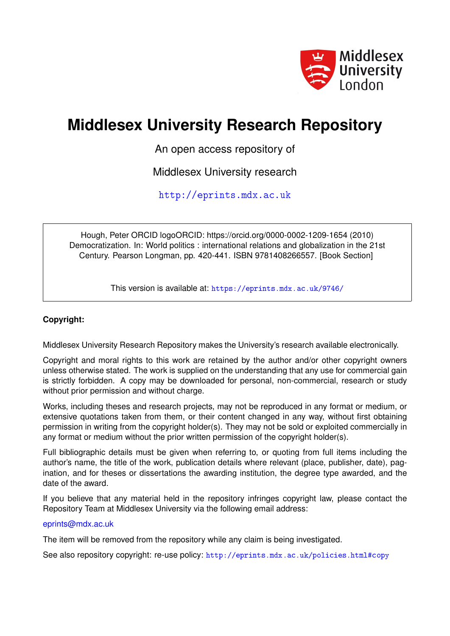

# **Middlesex University Research Repository**

An open access repository of

Middlesex University research

<http://eprints.mdx.ac.uk>

Hough, Peter ORCID logoORCID: https://orcid.org/0000-0002-1209-1654 (2010) Democratization. In: World politics : international relations and globalization in the 21st Century. Pearson Longman, pp. 420-441. ISBN 9781408266557. [Book Section]

This version is available at: <https://eprints.mdx.ac.uk/9746/>

## **Copyright:**

Middlesex University Research Repository makes the University's research available electronically.

Copyright and moral rights to this work are retained by the author and/or other copyright owners unless otherwise stated. The work is supplied on the understanding that any use for commercial gain is strictly forbidden. A copy may be downloaded for personal, non-commercial, research or study without prior permission and without charge.

Works, including theses and research projects, may not be reproduced in any format or medium, or extensive quotations taken from them, or their content changed in any way, without first obtaining permission in writing from the copyright holder(s). They may not be sold or exploited commercially in any format or medium without the prior written permission of the copyright holder(s).

Full bibliographic details must be given when referring to, or quoting from full items including the author's name, the title of the work, publication details where relevant (place, publisher, date), pagination, and for theses or dissertations the awarding institution, the degree type awarded, and the date of the award.

If you believe that any material held in the repository infringes copyright law, please contact the Repository Team at Middlesex University via the following email address:

## [eprints@mdx.ac.uk](mailto:eprints@mdx.ac.uk)

The item will be removed from the repository while any claim is being investigated.

See also repository copyright: re-use policy: <http://eprints.mdx.ac.uk/policies.html#copy>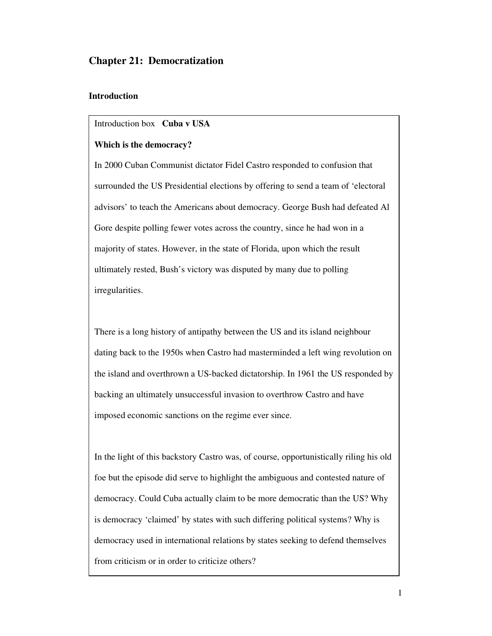## **Chapter 21: Democratization**

## **Introduction**

## Introduction box **Cuba v USA**

## **Which is the democracy?**

In 2000 Cuban Communist dictator Fidel Castro responded to confusion that surrounded the US Presidential elections by offering to send a team of 'electoral advisors' to teach the Americans about democracy. George Bush had defeated Al Gore despite polling fewer votes across the country, since he had won in a majority of states. However, in the state of Florida, upon which the result ultimately rested, Bush's victory was disputed by many due to polling irregularities.

There is a long history of antipathy between the US and its island neighbour dating back to the 1950s when Castro had masterminded a left wing revolution on the island and overthrown a US-backed dictatorship. In 1961 the US responded by backing an ultimately unsuccessful invasion to overthrow Castro and have imposed economic sanctions on the regime ever since.

In the light of this backstory Castro was, of course, opportunistically riling his old foe but the episode did serve to highlight the ambiguous and contested nature of democracy. Could Cuba actually claim to be more democratic than the US? Why is democracy 'claimed' by states with such differing political systems? Why is democracy used in international relations by states seeking to defend themselves from criticism or in order to criticize others?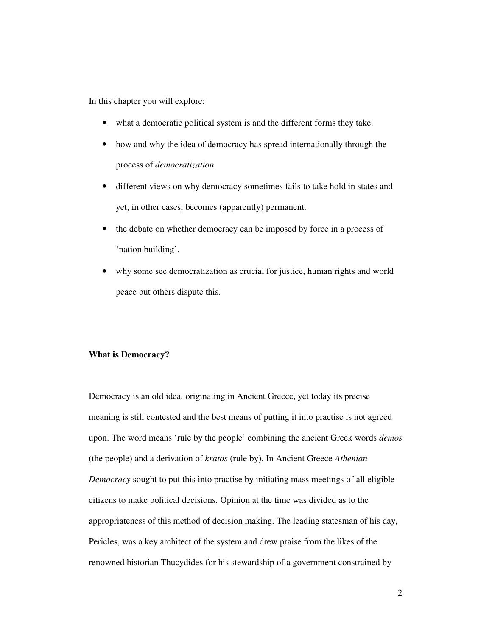In this chapter you will explore:

- what a democratic political system is and the different forms they take.
- how and why the idea of democracy has spread internationally through the process of *democratization*.
- different views on why democracy sometimes fails to take hold in states and yet, in other cases, becomes (apparently) permanent.
- the debate on whether democracy can be imposed by force in a process of 'nation building'.
- why some see democratization as crucial for justice, human rights and world peace but others dispute this.

#### **What is Democracy?**

Democracy is an old idea, originating in Ancient Greece, yet today its precise meaning is still contested and the best means of putting it into practise is not agreed upon. The word means 'rule by the people' combining the ancient Greek words *demos*  (the people) and a derivation of *kratos* (rule by). In Ancient Greece *Athenian Democracy* sought to put this into practise by initiating mass meetings of all eligible citizens to make political decisions. Opinion at the time was divided as to the appropriateness of this method of decision making. The leading statesman of his day, Pericles, was a key architect of the system and drew praise from the likes of the renowned historian Thucydides for his stewardship of a government constrained by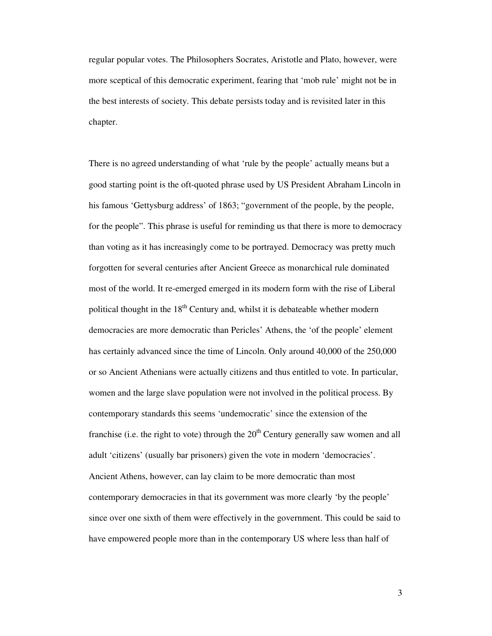regular popular votes. The Philosophers Socrates, Aristotle and Plato, however, were more sceptical of this democratic experiment, fearing that 'mob rule' might not be in the best interests of society. This debate persists today and is revisited later in this chapter.

There is no agreed understanding of what 'rule by the people' actually means but a good starting point is the oft-quoted phrase used by US President Abraham Lincoln in his famous 'Gettysburg address' of 1863; "government of the people, by the people, for the people". This phrase is useful for reminding us that there is more to democracy than voting as it has increasingly come to be portrayed. Democracy was pretty much forgotten for several centuries after Ancient Greece as monarchical rule dominated most of the world. It re-emerged emerged in its modern form with the rise of Liberal political thought in the  $18<sup>th</sup>$  Century and, whilst it is debateable whether modern democracies are more democratic than Pericles' Athens, the 'of the people' element has certainly advanced since the time of Lincoln. Only around 40,000 of the 250,000 or so Ancient Athenians were actually citizens and thus entitled to vote. In particular, women and the large slave population were not involved in the political process. By contemporary standards this seems 'undemocratic' since the extension of the franchise (i.e. the right to vote) through the  $20<sup>th</sup>$  Century generally saw women and all adult 'citizens' (usually bar prisoners) given the vote in modern 'democracies'. Ancient Athens, however, can lay claim to be more democratic than most contemporary democracies in that its government was more clearly 'by the people' since over one sixth of them were effectively in the government. This could be said to have empowered people more than in the contemporary US where less than half of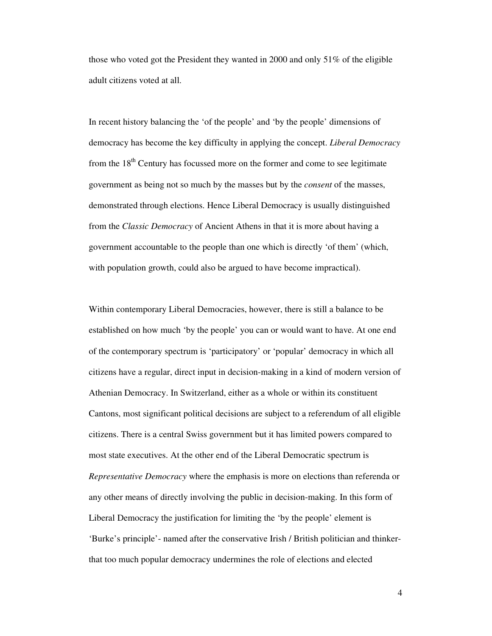those who voted got the President they wanted in 2000 and only 51% of the eligible adult citizens voted at all.

In recent history balancing the 'of the people' and 'by the people' dimensions of democracy has become the key difficulty in applying the concept. *Liberal Democracy* from the  $18<sup>th</sup>$  Century has focussed more on the former and come to see legitimate government as being not so much by the masses but by the *consent* of the masses, demonstrated through elections. Hence Liberal Democracy is usually distinguished from the *Classic Democracy* of Ancient Athens in that it is more about having a government accountable to the people than one which is directly 'of them' (which, with population growth, could also be argued to have become impractical).

Within contemporary Liberal Democracies, however, there is still a balance to be established on how much 'by the people' you can or would want to have. At one end of the contemporary spectrum is 'participatory' or 'popular' democracy in which all citizens have a regular, direct input in decision-making in a kind of modern version of Athenian Democracy. In Switzerland, either as a whole or within its constituent Cantons, most significant political decisions are subject to a referendum of all eligible citizens. There is a central Swiss government but it has limited powers compared to most state executives. At the other end of the Liberal Democratic spectrum is *Representative Democracy* where the emphasis is more on elections than referenda or any other means of directly involving the public in decision-making. In this form of Liberal Democracy the justification for limiting the 'by the people' element is 'Burke's principle'- named after the conservative Irish / British politician and thinkerthat too much popular democracy undermines the role of elections and elected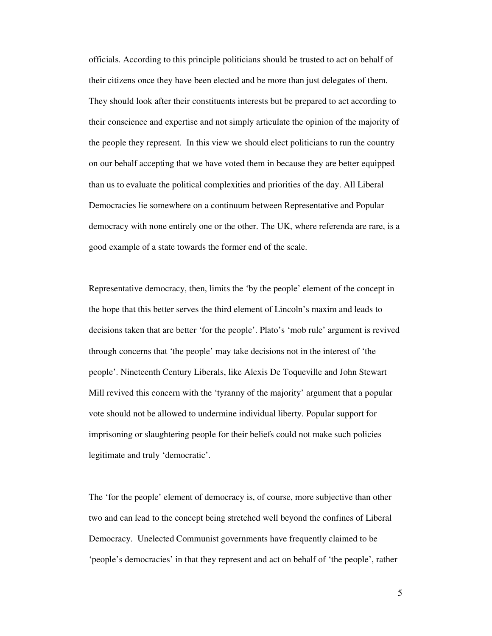officials. According to this principle politicians should be trusted to act on behalf of their citizens once they have been elected and be more than just delegates of them. They should look after their constituents interests but be prepared to act according to their conscience and expertise and not simply articulate the opinion of the majority of the people they represent. In this view we should elect politicians to run the country on our behalf accepting that we have voted them in because they are better equipped than us to evaluate the political complexities and priorities of the day. All Liberal Democracies lie somewhere on a continuum between Representative and Popular democracy with none entirely one or the other. The UK, where referenda are rare, is a good example of a state towards the former end of the scale.

Representative democracy, then, limits the 'by the people' element of the concept in the hope that this better serves the third element of Lincoln's maxim and leads to decisions taken that are better 'for the people'. Plato's 'mob rule' argument is revived through concerns that 'the people' may take decisions not in the interest of 'the people'. Nineteenth Century Liberals, like Alexis De Toqueville and John Stewart Mill revived this concern with the 'tyranny of the majority' argument that a popular vote should not be allowed to undermine individual liberty. Popular support for imprisoning or slaughtering people for their beliefs could not make such policies legitimate and truly 'democratic'.

The 'for the people' element of democracy is, of course, more subjective than other two and can lead to the concept being stretched well beyond the confines of Liberal Democracy. Unelected Communist governments have frequently claimed to be 'people's democracies' in that they represent and act on behalf of 'the people', rather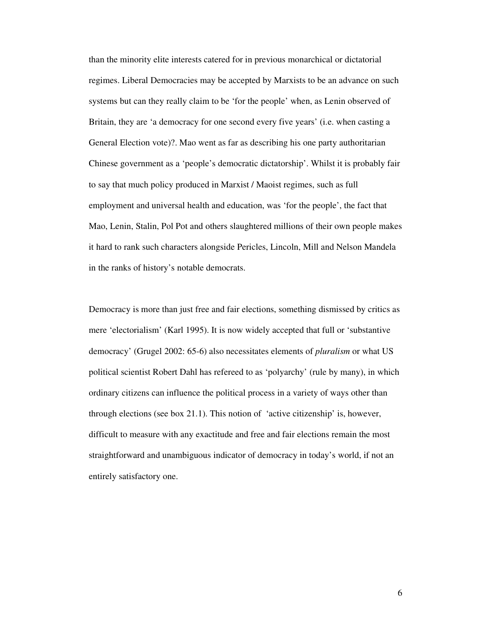than the minority elite interests catered for in previous monarchical or dictatorial regimes. Liberal Democracies may be accepted by Marxists to be an advance on such systems but can they really claim to be 'for the people' when, as Lenin observed of Britain, they are 'a democracy for one second every five years' (i.e. when casting a General Election vote)?. Mao went as far as describing his one party authoritarian Chinese government as a 'people's democratic dictatorship'. Whilst it is probably fair to say that much policy produced in Marxist / Maoist regimes, such as full employment and universal health and education, was 'for the people', the fact that Mao, Lenin, Stalin, Pol Pot and others slaughtered millions of their own people makes it hard to rank such characters alongside Pericles, Lincoln, Mill and Nelson Mandela in the ranks of history's notable democrats.

Democracy is more than just free and fair elections, something dismissed by critics as mere 'electorialism' (Karl 1995). It is now widely accepted that full or 'substantive democracy' (Grugel 2002: 65-6) also necessitates elements of *pluralism* or what US political scientist Robert Dahl has refereed to as 'polyarchy' (rule by many), in which ordinary citizens can influence the political process in a variety of ways other than through elections (see box 21.1). This notion of 'active citizenship' is, however, difficult to measure with any exactitude and free and fair elections remain the most straightforward and unambiguous indicator of democracy in today's world, if not an entirely satisfactory one.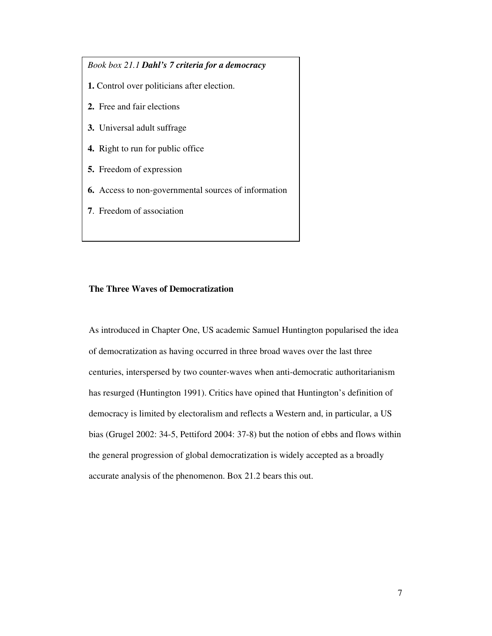## *Book box 21.1 Dahl's 7 criteria for a democracy*

- **1.** Control over politicians after election.
- **2.** Free and fair elections
- **3.** Universal adult suffrage
- **4.** Right to run for public office
- **5.** Freedom of expression
- **6.** Access to non-governmental sources of information
- **7**. Freedom of association

## **The Three Waves of Democratization**

As introduced in Chapter One, US academic Samuel Huntington popularised the idea of democratization as having occurred in three broad waves over the last three centuries, interspersed by two counter-waves when anti-democratic authoritarianism has resurged (Huntington 1991). Critics have opined that Huntington's definition of democracy is limited by electoralism and reflects a Western and, in particular, a US bias (Grugel 2002: 34-5, Pettiford 2004: 37-8) but the notion of ebbs and flows within the general progression of global democratization is widely accepted as a broadly accurate analysis of the phenomenon. Box 21.2 bears this out.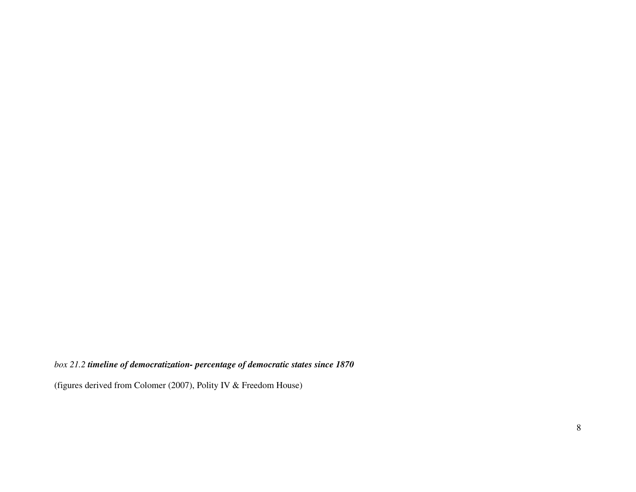*box 21.2 timeline of democratization- percentage of democratic states since 1870* 

(figures derived from Colomer (2007), Polity IV & Freedom House)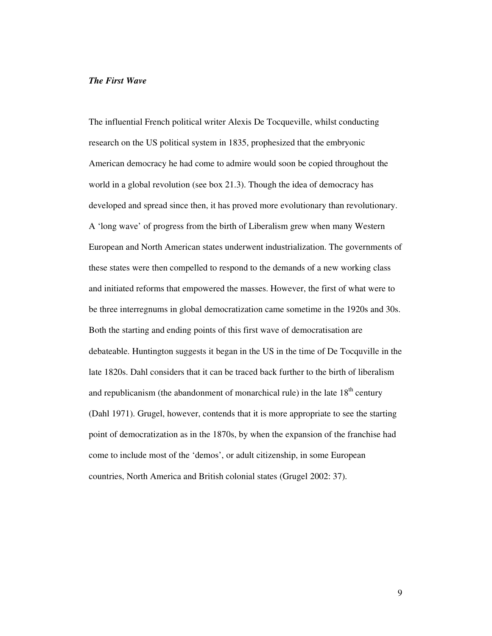## *The First Wave*

The influential French political writer Alexis De Tocqueville, whilst conducting research on the US political system in 1835, prophesized that the embryonic American democracy he had come to admire would soon be copied throughout the world in a global revolution (see box 21.3). Though the idea of democracy has developed and spread since then, it has proved more evolutionary than revolutionary. A 'long wave' of progress from the birth of Liberalism grew when many Western European and North American states underwent industrialization. The governments of these states were then compelled to respond to the demands of a new working class and initiated reforms that empowered the masses. However, the first of what were to be three interregnums in global democratization came sometime in the 1920s and 30s. Both the starting and ending points of this first wave of democratisation are debateable. Huntington suggests it began in the US in the time of De Tocquville in the late 1820s. Dahl considers that it can be traced back further to the birth of liberalism and republicanism (the abandonment of monarchical rule) in the late  $18<sup>th</sup>$  century (Dahl 1971). Grugel, however, contends that it is more appropriate to see the starting point of democratization as in the 1870s, by when the expansion of the franchise had come to include most of the 'demos', or adult citizenship, in some European countries, North America and British colonial states (Grugel 2002: 37).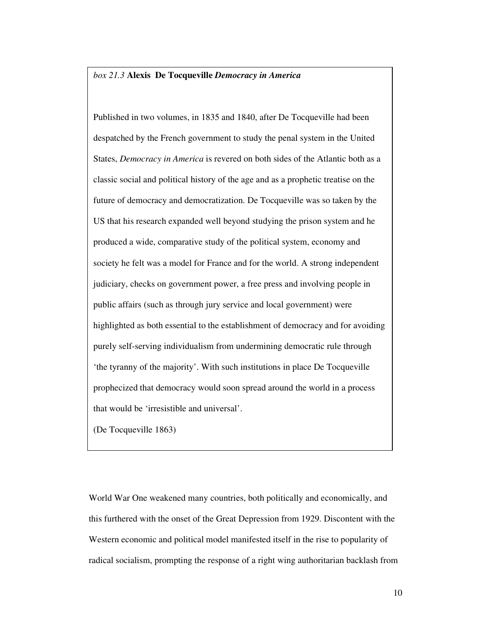## *box 21.3* **Alexis De Tocqueville** *Democracy in America*

Published in two volumes, in 1835 and 1840, after De Tocqueville had been despatched by the French government to study the penal system in the United States, *Democracy in America* is revered on both sides of the Atlantic both as a classic social and political history of the age and as a prophetic treatise on the future of democracy and democratization. De Tocqueville was so taken by the US that his research expanded well beyond studying the prison system and he produced a wide, comparative study of the political system, economy and society he felt was a model for France and for the world. A strong independent judiciary, checks on government power, a free press and involving people in public affairs (such as through jury service and local government) were highlighted as both essential to the establishment of democracy and for avoiding purely self-serving individualism from undermining democratic rule through 'the tyranny of the majority'. With such institutions in place De Tocqueville prophecized that democracy would soon spread around the world in a process that would be 'irresistible and universal'.

(De Tocqueville 1863)

World War One weakened many countries, both politically and economically, and this furthered with the onset of the Great Depression from 1929. Discontent with the Western economic and political model manifested itself in the rise to popularity of radical socialism, prompting the response of a right wing authoritarian backlash from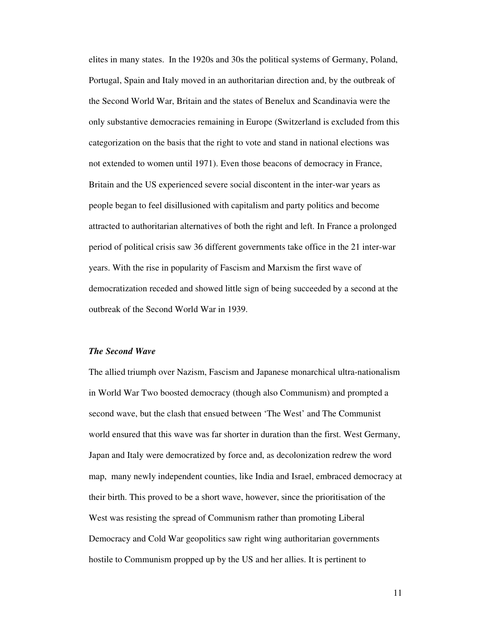elites in many states. In the 1920s and 30s the political systems of Germany, Poland, Portugal, Spain and Italy moved in an authoritarian direction and, by the outbreak of the Second World War, Britain and the states of Benelux and Scandinavia were the only substantive democracies remaining in Europe (Switzerland is excluded from this categorization on the basis that the right to vote and stand in national elections was not extended to women until 1971). Even those beacons of democracy in France, Britain and the US experienced severe social discontent in the inter-war years as people began to feel disillusioned with capitalism and party politics and become attracted to authoritarian alternatives of both the right and left. In France a prolonged period of political crisis saw 36 different governments take office in the 21 inter-war years. With the rise in popularity of Fascism and Marxism the first wave of democratization receded and showed little sign of being succeeded by a second at the outbreak of the Second World War in 1939.

#### *The Second Wave*

The allied triumph over Nazism, Fascism and Japanese monarchical ultra-nationalism in World War Two boosted democracy (though also Communism) and prompted a second wave, but the clash that ensued between 'The West' and The Communist world ensured that this wave was far shorter in duration than the first. West Germany, Japan and Italy were democratized by force and, as decolonization redrew the word map, many newly independent counties, like India and Israel, embraced democracy at their birth. This proved to be a short wave, however, since the prioritisation of the West was resisting the spread of Communism rather than promoting Liberal Democracy and Cold War geopolitics saw right wing authoritarian governments hostile to Communism propped up by the US and her allies. It is pertinent to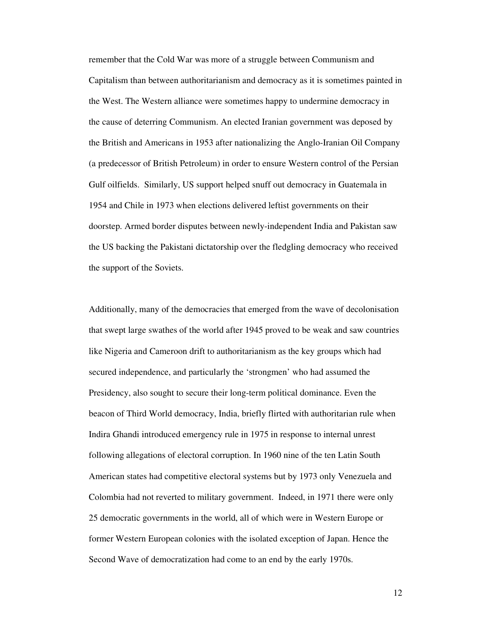remember that the Cold War was more of a struggle between Communism and Capitalism than between authoritarianism and democracy as it is sometimes painted in the West. The Western alliance were sometimes happy to undermine democracy in the cause of deterring Communism. An elected Iranian government was deposed by the British and Americans in 1953 after nationalizing the Anglo-Iranian Oil Company (a predecessor of British Petroleum) in order to ensure Western control of the Persian Gulf oilfields. Similarly, US support helped snuff out democracy in Guatemala in 1954 and Chile in 1973 when elections delivered leftist governments on their doorstep. Armed border disputes between newly-independent India and Pakistan saw the US backing the Pakistani dictatorship over the fledgling democracy who received the support of the Soviets.

Additionally, many of the democracies that emerged from the wave of decolonisation that swept large swathes of the world after 1945 proved to be weak and saw countries like Nigeria and Cameroon drift to authoritarianism as the key groups which had secured independence, and particularly the 'strongmen' who had assumed the Presidency, also sought to secure their long-term political dominance. Even the beacon of Third World democracy, India, briefly flirted with authoritarian rule when Indira Ghandi introduced emergency rule in 1975 in response to internal unrest following allegations of electoral corruption. In 1960 nine of the ten Latin South American states had competitive electoral systems but by 1973 only Venezuela and Colombia had not reverted to military government. Indeed, in 1971 there were only 25 democratic governments in the world, all of which were in Western Europe or former Western European colonies with the isolated exception of Japan. Hence the Second Wave of democratization had come to an end by the early 1970s.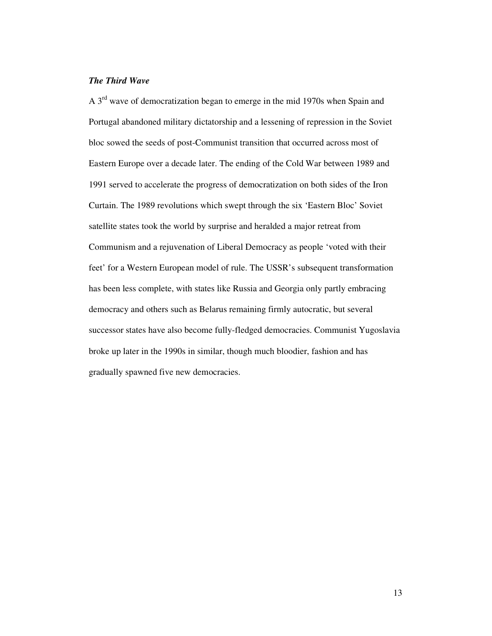## *The Third Wave*

A 3rd wave of democratization began to emerge in the mid 1970s when Spain and Portugal abandoned military dictatorship and a lessening of repression in the Soviet bloc sowed the seeds of post-Communist transition that occurred across most of Eastern Europe over a decade later. The ending of the Cold War between 1989 and 1991 served to accelerate the progress of democratization on both sides of the Iron Curtain. The 1989 revolutions which swept through the six 'Eastern Bloc' Soviet satellite states took the world by surprise and heralded a major retreat from Communism and a rejuvenation of Liberal Democracy as people 'voted with their feet' for a Western European model of rule. The USSR's subsequent transformation has been less complete, with states like Russia and Georgia only partly embracing democracy and others such as Belarus remaining firmly autocratic, but several successor states have also become fully-fledged democracies. Communist Yugoslavia broke up later in the 1990s in similar, though much bloodier, fashion and has gradually spawned five new democracies.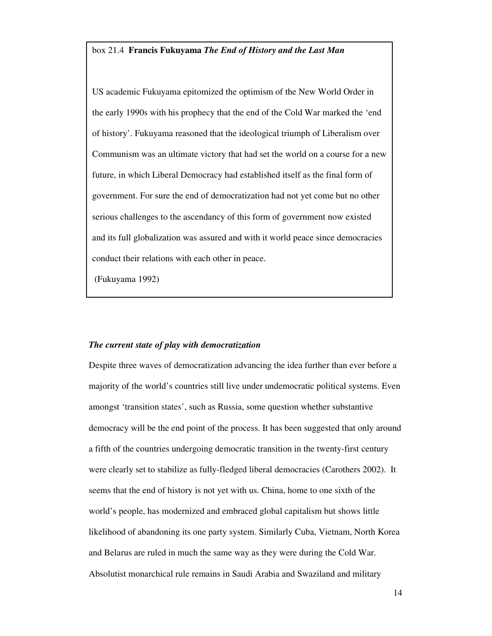#### box 21.4 **Francis Fukuyama** *The End of History and the Last Man*

US academic Fukuyama epitomized the optimism of the New World Order in the early 1990s with his prophecy that the end of the Cold War marked the 'end of history'. Fukuyama reasoned that the ideological triumph of Liberalism over Communism was an ultimate victory that had set the world on a course for a new future, in which Liberal Democracy had established itself as the final form of government. For sure the end of democratization had not yet come but no other serious challenges to the ascendancy of this form of government now existed and its full globalization was assured and with it world peace since democracies conduct their relations with each other in peace.

(Fukuyama 1992)

#### *The current state of play with democratization*

Despite three waves of democratization advancing the idea further than ever before a majority of the world's countries still live under undemocratic political systems. Even amongst 'transition states', such as Russia, some question whether substantive democracy will be the end point of the process. It has been suggested that only around a fifth of the countries undergoing democratic transition in the twenty-first century were clearly set to stabilize as fully-fledged liberal democracies (Carothers 2002). It seems that the end of history is not yet with us. China, home to one sixth of the world's people, has modernized and embraced global capitalism but shows little likelihood of abandoning its one party system. Similarly Cuba, Vietnam, North Korea and Belarus are ruled in much the same way as they were during the Cold War. Absolutist monarchical rule remains in Saudi Arabia and Swaziland and military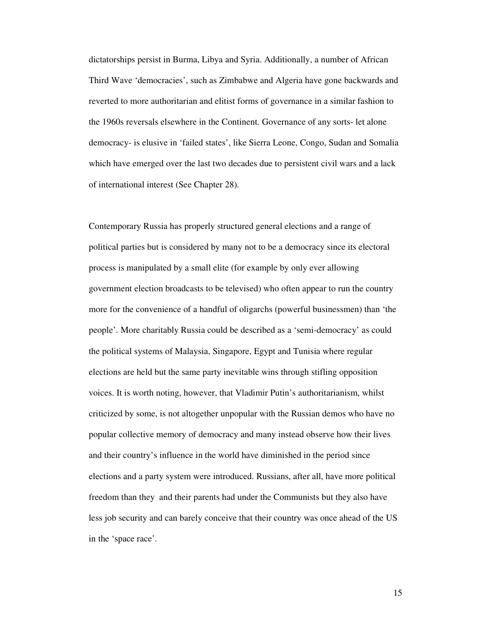dictatorships persist in Burma, Libya and Syria. Additionally, a number of African Third Wave 'democracies', such as Zimbabwe and Algeria have gone backwards and reverted to more authoritarian and elitist forms of governance in a similar fashion to the 1960s reversals elsewhere in the Continent. Governance of any sorts- let alone democracy- is elusive in 'failed states', like Sierra Leone, Congo, Sudan and Somalia which have emerged over the last two decades due to persistent civil wars and a lack of international interest (See Chapter 28).

Contemporary Russia has properly structured general elections and a range of political parties but is considered by many not to be a democracy since its electoral process is manipulated by a small elite (for example by only ever allowing government election broadcasts to be televised) who often appear to run the country more for the convenience of a handful of oligarchs (powerful businessmen) than 'the people'. More charitably Russia could be described as a 'semi-democracy' as could the political systems of Malaysia, Singapore, Egypt and Tunisia where regular elections are held but the same party inevitable wins through stifling opposition voices. It is worth noting, however, that Vladimir Putin's authoritarianism, whilst criticized by some, is not altogether unpopular with the Russian demos who have no popular collective memory of democracy and many instead observe how their lives and their country's influence in the world have diminished in the period since elections and a party system were introduced. Russians, after all, have more political freedom than they and their parents had under the Communists but they also have less job security and can barely conceive that their country was once ahead of the US in the 'space race'.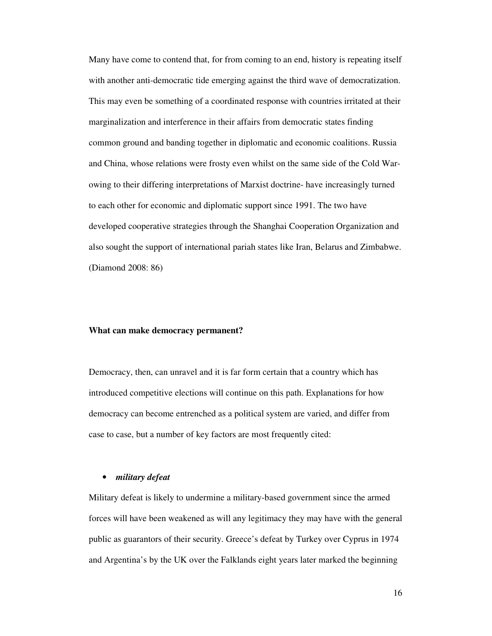Many have come to contend that, for from coming to an end, history is repeating itself with another anti-democratic tide emerging against the third wave of democratization. This may even be something of a coordinated response with countries irritated at their marginalization and interference in their affairs from democratic states finding common ground and banding together in diplomatic and economic coalitions. Russia and China, whose relations were frosty even whilst on the same side of the Cold Warowing to their differing interpretations of Marxist doctrine- have increasingly turned to each other for economic and diplomatic support since 1991. The two have developed cooperative strategies through the Shanghai Cooperation Organization and also sought the support of international pariah states like Iran, Belarus and Zimbabwe. (Diamond 2008: 86)

#### **What can make democracy permanent?**

Democracy, then, can unravel and it is far form certain that a country which has introduced competitive elections will continue on this path. Explanations for how democracy can become entrenched as a political system are varied, and differ from case to case, but a number of key factors are most frequently cited:

## • *military defeat*

Military defeat is likely to undermine a military-based government since the armed forces will have been weakened as will any legitimacy they may have with the general public as guarantors of their security. Greece's defeat by Turkey over Cyprus in 1974 and Argentina's by the UK over the Falklands eight years later marked the beginning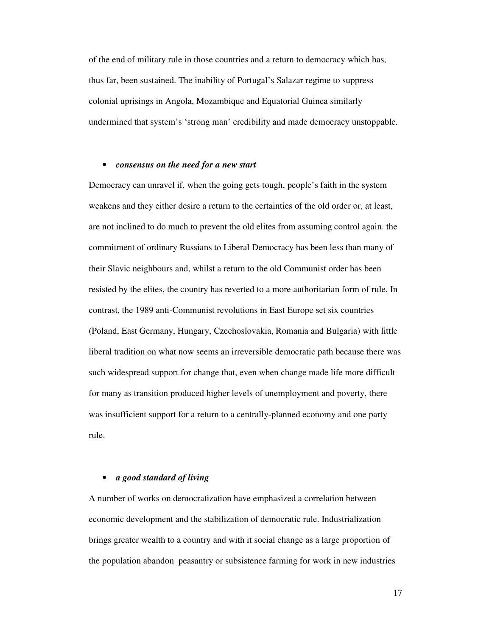of the end of military rule in those countries and a return to democracy which has, thus far, been sustained. The inability of Portugal's Salazar regime to suppress colonial uprisings in Angola, Mozambique and Equatorial Guinea similarly undermined that system's 'strong man' credibility and made democracy unstoppable.

#### • *consensus on the need for a new start*

Democracy can unravel if, when the going gets tough, people's faith in the system weakens and they either desire a return to the certainties of the old order or, at least, are not inclined to do much to prevent the old elites from assuming control again. the commitment of ordinary Russians to Liberal Democracy has been less than many of their Slavic neighbours and, whilst a return to the old Communist order has been resisted by the elites, the country has reverted to a more authoritarian form of rule. In contrast, the 1989 anti-Communist revolutions in East Europe set six countries (Poland, East Germany, Hungary, Czechoslovakia, Romania and Bulgaria) with little liberal tradition on what now seems an irreversible democratic path because there was such widespread support for change that, even when change made life more difficult for many as transition produced higher levels of unemployment and poverty, there was insufficient support for a return to a centrally-planned economy and one party rule.

#### • *a good standard of living*

A number of works on democratization have emphasized a correlation between economic development and the stabilization of democratic rule. Industrialization brings greater wealth to a country and with it social change as a large proportion of the population abandon peasantry or subsistence farming for work in new industries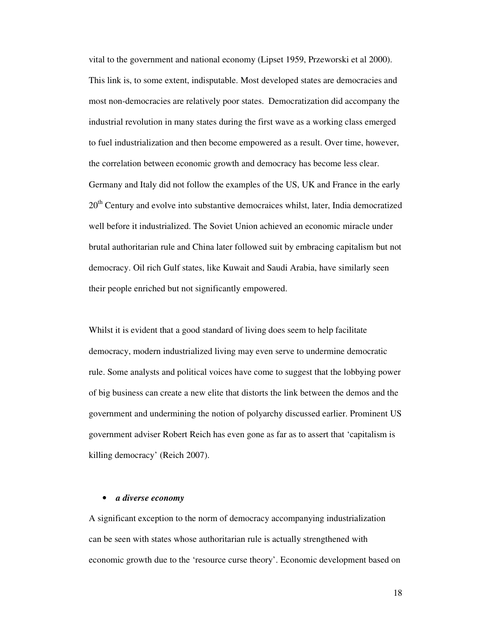vital to the government and national economy (Lipset 1959, Przeworski et al 2000). This link is, to some extent, indisputable. Most developed states are democracies and most non-democracies are relatively poor states. Democratization did accompany the industrial revolution in many states during the first wave as a working class emerged to fuel industrialization and then become empowered as a result. Over time, however, the correlation between economic growth and democracy has become less clear. Germany and Italy did not follow the examples of the US, UK and France in the early 20<sup>th</sup> Century and evolve into substantive democraices whilst, later, India democratized well before it industrialized. The Soviet Union achieved an economic miracle under brutal authoritarian rule and China later followed suit by embracing capitalism but not democracy. Oil rich Gulf states, like Kuwait and Saudi Arabia, have similarly seen their people enriched but not significantly empowered.

Whilst it is evident that a good standard of living does seem to help facilitate democracy, modern industrialized living may even serve to undermine democratic rule. Some analysts and political voices have come to suggest that the lobbying power of big business can create a new elite that distorts the link between the demos and the government and undermining the notion of polyarchy discussed earlier. Prominent US government adviser Robert Reich has even gone as far as to assert that 'capitalism is killing democracy' (Reich 2007).

#### • *a diverse economy*

A significant exception to the norm of democracy accompanying industrialization can be seen with states whose authoritarian rule is actually strengthened with economic growth due to the 'resource curse theory'. Economic development based on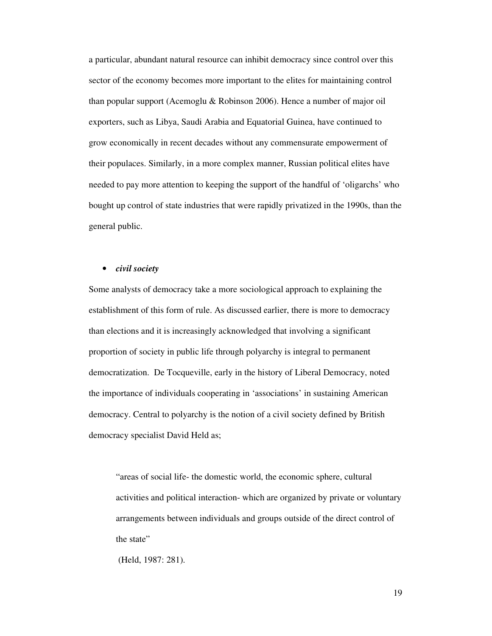a particular, abundant natural resource can inhibit democracy since control over this sector of the economy becomes more important to the elites for maintaining control than popular support (Acemoglu & Robinson 2006). Hence a number of major oil exporters, such as Libya, Saudi Arabia and Equatorial Guinea, have continued to grow economically in recent decades without any commensurate empowerment of their populaces. Similarly, in a more complex manner, Russian political elites have needed to pay more attention to keeping the support of the handful of 'oligarchs' who bought up control of state industries that were rapidly privatized in the 1990s, than the general public.

## • *civil society*

Some analysts of democracy take a more sociological approach to explaining the establishment of this form of rule. As discussed earlier, there is more to democracy than elections and it is increasingly acknowledged that involving a significant proportion of society in public life through polyarchy is integral to permanent democratization. De Tocqueville, early in the history of Liberal Democracy, noted the importance of individuals cooperating in 'associations' in sustaining American democracy. Central to polyarchy is the notion of a civil society defined by British democracy specialist David Held as;

"areas of social life- the domestic world, the economic sphere, cultural activities and political interaction- which are organized by private or voluntary arrangements between individuals and groups outside of the direct control of the state"

(Held, 1987: 281).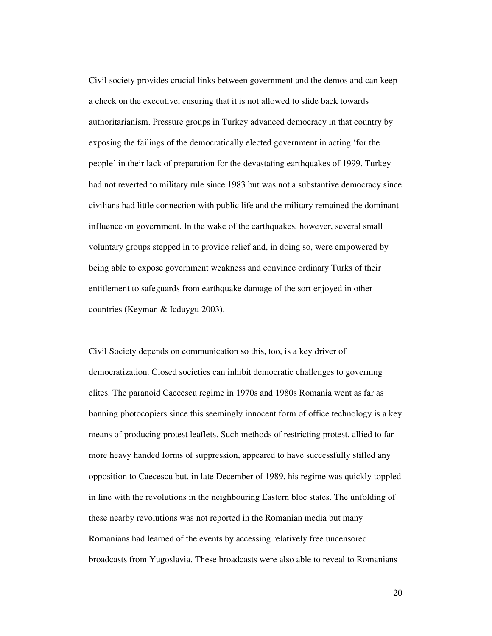Civil society provides crucial links between government and the demos and can keep a check on the executive, ensuring that it is not allowed to slide back towards authoritarianism. Pressure groups in Turkey advanced democracy in that country by exposing the failings of the democratically elected government in acting 'for the people' in their lack of preparation for the devastating earthquakes of 1999. Turkey had not reverted to military rule since 1983 but was not a substantive democracy since civilians had little connection with public life and the military remained the dominant influence on government. In the wake of the earthquakes, however, several small voluntary groups stepped in to provide relief and, in doing so, were empowered by being able to expose government weakness and convince ordinary Turks of their entitlement to safeguards from earthquake damage of the sort enjoyed in other countries (Keyman & Icduygu 2003).

Civil Society depends on communication so this, too, is a key driver of democratization. Closed societies can inhibit democratic challenges to governing elites. The paranoid Caecescu regime in 1970s and 1980s Romania went as far as banning photocopiers since this seemingly innocent form of office technology is a key means of producing protest leaflets. Such methods of restricting protest, allied to far more heavy handed forms of suppression, appeared to have successfully stifled any opposition to Caecescu but, in late December of 1989, his regime was quickly toppled in line with the revolutions in the neighbouring Eastern bloc states. The unfolding of these nearby revolutions was not reported in the Romanian media but many Romanians had learned of the events by accessing relatively free uncensored broadcasts from Yugoslavia. These broadcasts were also able to reveal to Romanians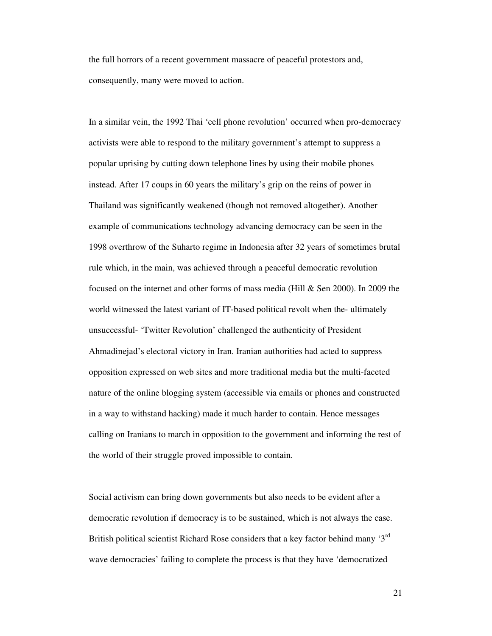the full horrors of a recent government massacre of peaceful protestors and, consequently, many were moved to action.

In a similar vein, the 1992 Thai 'cell phone revolution' occurred when pro-democracy activists were able to respond to the military government's attempt to suppress a popular uprising by cutting down telephone lines by using their mobile phones instead. After 17 coups in 60 years the military's grip on the reins of power in Thailand was significantly weakened (though not removed altogether). Another example of communications technology advancing democracy can be seen in the 1998 overthrow of the Suharto regime in Indonesia after 32 years of sometimes brutal rule which, in the main, was achieved through a peaceful democratic revolution focused on the internet and other forms of mass media (Hill & Sen 2000). In 2009 the world witnessed the latest variant of IT-based political revolt when the- ultimately unsuccessful- 'Twitter Revolution' challenged the authenticity of President Ahmadinejad's electoral victory in Iran. Iranian authorities had acted to suppress opposition expressed on web sites and more traditional media but the multi-faceted nature of the online blogging system (accessible via emails or phones and constructed in a way to withstand hacking) made it much harder to contain. Hence messages calling on Iranians to march in opposition to the government and informing the rest of the world of their struggle proved impossible to contain.

Social activism can bring down governments but also needs to be evident after a democratic revolution if democracy is to be sustained, which is not always the case. British political scientist Richard Rose considers that a key factor behind many '3rd wave democracies' failing to complete the process is that they have 'democratized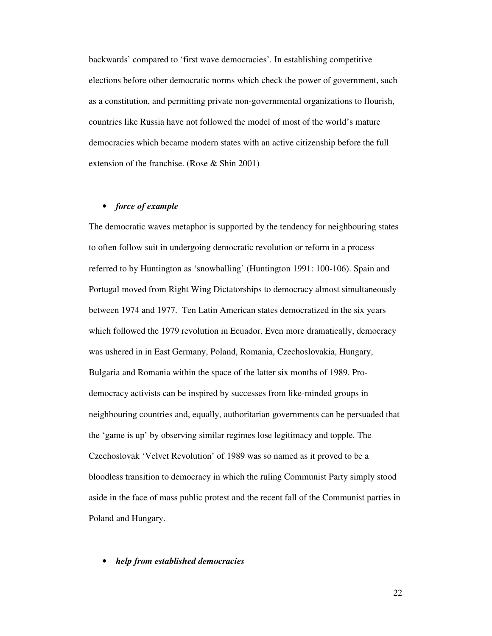backwards' compared to 'first wave democracies'. In establishing competitive elections before other democratic norms which check the power of government, such as a constitution, and permitting private non-governmental organizations to flourish, countries like Russia have not followed the model of most of the world's mature democracies which became modern states with an active citizenship before the full extension of the franchise. (Rose & Shin 2001)

#### • *force of example*

The democratic waves metaphor is supported by the tendency for neighbouring states to often follow suit in undergoing democratic revolution or reform in a process referred to by Huntington as 'snowballing' (Huntington 1991: 100-106). Spain and Portugal moved from Right Wing Dictatorships to democracy almost simultaneously between 1974 and 1977. Ten Latin American states democratized in the six years which followed the 1979 revolution in Ecuador. Even more dramatically, democracy was ushered in in East Germany, Poland, Romania, Czechoslovakia, Hungary, Bulgaria and Romania within the space of the latter six months of 1989. Prodemocracy activists can be inspired by successes from like-minded groups in neighbouring countries and, equally, authoritarian governments can be persuaded that the 'game is up' by observing similar regimes lose legitimacy and topple. The Czechoslovak 'Velvet Revolution' of 1989 was so named as it proved to be a bloodless transition to democracy in which the ruling Communist Party simply stood aside in the face of mass public protest and the recent fall of the Communist parties in Poland and Hungary.

• *help from established democracies*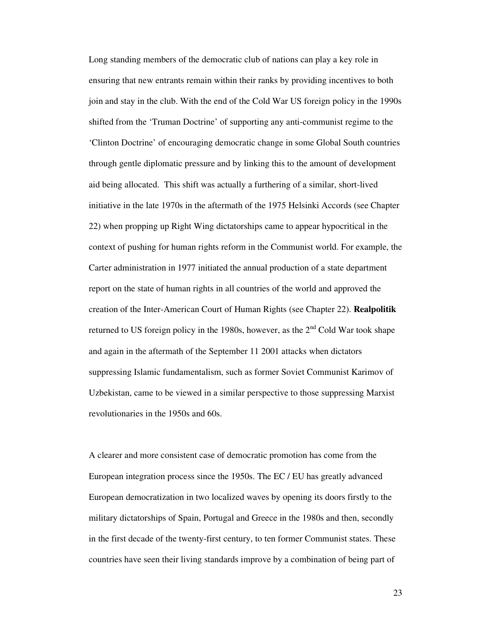Long standing members of the democratic club of nations can play a key role in ensuring that new entrants remain within their ranks by providing incentives to both join and stay in the club. With the end of the Cold War US foreign policy in the 1990s shifted from the 'Truman Doctrine' of supporting any anti-communist regime to the 'Clinton Doctrine' of encouraging democratic change in some Global South countries through gentle diplomatic pressure and by linking this to the amount of development aid being allocated. This shift was actually a furthering of a similar, short-lived initiative in the late 1970s in the aftermath of the 1975 Helsinki Accords (see Chapter 22) when propping up Right Wing dictatorships came to appear hypocritical in the context of pushing for human rights reform in the Communist world. For example, the Carter administration in 1977 initiated the annual production of a state department report on the state of human rights in all countries of the world and approved the creation of the Inter-American Court of Human Rights (see Chapter 22). **Realpolitik**  returned to US foreign policy in the 1980s, however, as the  $2<sup>nd</sup>$  Cold War took shape and again in the aftermath of the September 11 2001 attacks when dictators suppressing Islamic fundamentalism, such as former Soviet Communist Karimov of Uzbekistan, came to be viewed in a similar perspective to those suppressing Marxist revolutionaries in the 1950s and 60s.

A clearer and more consistent case of democratic promotion has come from the European integration process since the 1950s. The EC / EU has greatly advanced European democratization in two localized waves by opening its doors firstly to the military dictatorships of Spain, Portugal and Greece in the 1980s and then, secondly in the first decade of the twenty-first century, to ten former Communist states. These countries have seen their living standards improve by a combination of being part of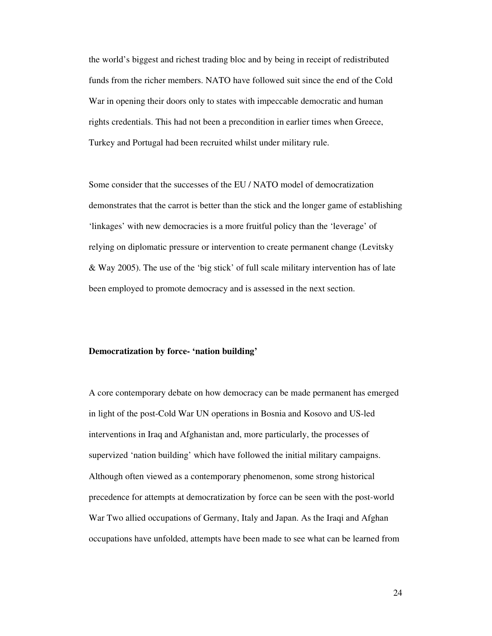the world's biggest and richest trading bloc and by being in receipt of redistributed funds from the richer members. NATO have followed suit since the end of the Cold War in opening their doors only to states with impeccable democratic and human rights credentials. This had not been a precondition in earlier times when Greece, Turkey and Portugal had been recruited whilst under military rule.

Some consider that the successes of the EU / NATO model of democratization demonstrates that the carrot is better than the stick and the longer game of establishing 'linkages' with new democracies is a more fruitful policy than the 'leverage' of relying on diplomatic pressure or intervention to create permanent change (Levitsky & Way 2005). The use of the 'big stick' of full scale military intervention has of late been employed to promote democracy and is assessed in the next section.

#### **Democratization by force- 'nation building'**

A core contemporary debate on how democracy can be made permanent has emerged in light of the post-Cold War UN operations in Bosnia and Kosovo and US-led interventions in Iraq and Afghanistan and, more particularly, the processes of supervized 'nation building' which have followed the initial military campaigns. Although often viewed as a contemporary phenomenon, some strong historical precedence for attempts at democratization by force can be seen with the post-world War Two allied occupations of Germany, Italy and Japan. As the Iraqi and Afghan occupations have unfolded, attempts have been made to see what can be learned from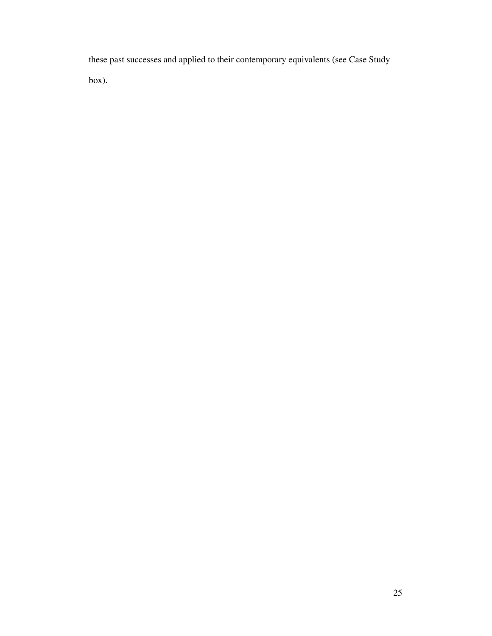these past successes and applied to their contemporary equivalents (see Case Study box).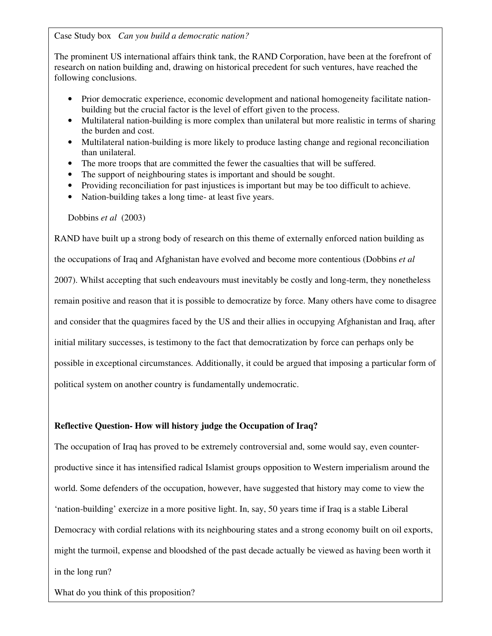Case Study box *Can you build a democratic nation?*

The prominent US international affairs think tank, the RAND Corporation, have been at the forefront of research on nation building and, drawing on historical precedent for such ventures, have reached the following conclusions.

- Prior democratic experience, economic development and national homogeneity facilitate nationbuilding but the crucial factor is the level of effort given to the process.
- Multilateral nation-building is more complex than unilateral but more realistic in terms of sharing the burden and cost.
- Multilateral nation-building is more likely to produce lasting change and regional reconciliation than unilateral.
- The more troops that are committed the fewer the casualties that will be suffered.
- The support of neighbouring states is important and should be sought.
- Providing reconciliation for past injustices is important but may be too difficult to achieve.
- Nation-building takes a long time- at least five years.

## Dobbins *et al* (2003)

RAND have built up a strong body of research on this theme of externally enforced nation building as the occupations of Iraq and Afghanistan have evolved and become more contentious (Dobbins *et al* 2007). Whilst accepting that such endeavours must inevitably be costly and long-term, they nonetheless remain positive and reason that it is possible to democratize by force. Many others have come to disagree and consider that the quagmires faced by the US and their allies in occupying Afghanistan and Iraq, after initial military successes, is testimony to the fact that democratization by force can perhaps only be possible in exceptional circumstances. Additionally, it could be argued that imposing a particular form of political system on another country is fundamentally undemocratic.

## **Reflective Question- How will history judge the Occupation of Iraq?**

The occupation of Iraq has proved to be extremely controversial and, some would say, even counterproductive since it has intensified radical Islamist groups opposition to Western imperialism around the world. Some defenders of the occupation, however, have suggested that history may come to view the 'nation-building' exercize in a more positive light. In, say, 50 years time if Iraq is a stable Liberal Democracy with cordial relations with its neighbouring states and a strong economy built on oil exports, might the turmoil, expense and bloodshed of the past decade actually be viewed as having been worth it in the long run?

What do you think of this proposition?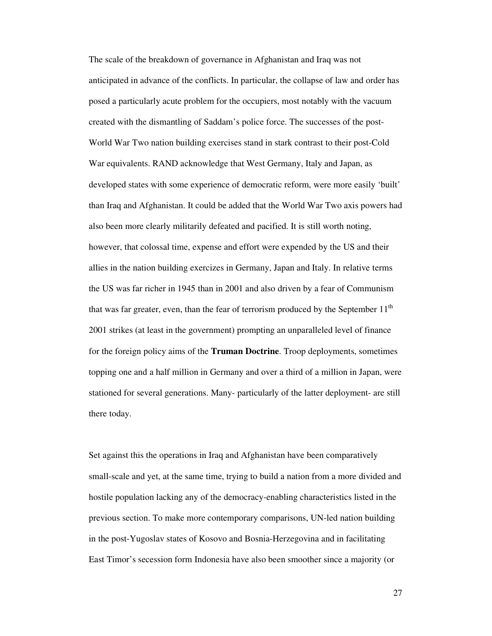The scale of the breakdown of governance in Afghanistan and Iraq was not anticipated in advance of the conflicts. In particular, the collapse of law and order has posed a particularly acute problem for the occupiers, most notably with the vacuum created with the dismantling of Saddam's police force. The successes of the post-World War Two nation building exercises stand in stark contrast to their post-Cold War equivalents. RAND acknowledge that West Germany, Italy and Japan, as developed states with some experience of democratic reform, were more easily 'built' than Iraq and Afghanistan. It could be added that the World War Two axis powers had also been more clearly militarily defeated and pacified. It is still worth noting, however, that colossal time, expense and effort were expended by the US and their allies in the nation building exercizes in Germany, Japan and Italy. In relative terms the US was far richer in 1945 than in 2001 and also driven by a fear of Communism that was far greater, even, than the fear of terrorism produced by the September 11<sup>th</sup> 2001 strikes (at least in the government) prompting an unparalleled level of finance for the foreign policy aims of the **Truman Doctrine**. Troop deployments, sometimes topping one and a half million in Germany and over a third of a million in Japan, were stationed for several generations. Many- particularly of the latter deployment- are still there today.

Set against this the operations in Iraq and Afghanistan have been comparatively small-scale and yet, at the same time, trying to build a nation from a more divided and hostile population lacking any of the democracy-enabling characteristics listed in the previous section. To make more contemporary comparisons, UN-led nation building in the post-Yugoslav states of Kosovo and Bosnia-Herzegovina and in facilitating East Timor's secession form Indonesia have also been smoother since a majority (or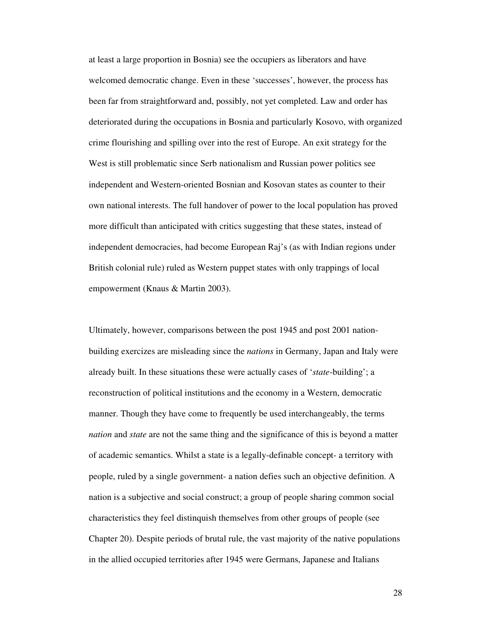at least a large proportion in Bosnia) see the occupiers as liberators and have welcomed democratic change. Even in these 'successes', however, the process has been far from straightforward and, possibly, not yet completed. Law and order has deteriorated during the occupations in Bosnia and particularly Kosovo, with organized crime flourishing and spilling over into the rest of Europe. An exit strategy for the West is still problematic since Serb nationalism and Russian power politics see independent and Western-oriented Bosnian and Kosovan states as counter to their own national interests. The full handover of power to the local population has proved more difficult than anticipated with critics suggesting that these states, instead of independent democracies, had become European Raj's (as with Indian regions under British colonial rule) ruled as Western puppet states with only trappings of local empowerment (Knaus & Martin 2003).

Ultimately, however, comparisons between the post 1945 and post 2001 nationbuilding exercizes are misleading since the *nations* in Germany, Japan and Italy were already built. In these situations these were actually cases of '*state*-building'; a reconstruction of political institutions and the economy in a Western, democratic manner. Though they have come to frequently be used interchangeably, the terms *nation* and *state* are not the same thing and the significance of this is beyond a matter of academic semantics. Whilst a state is a legally-definable concept- a territory with people, ruled by a single government- a nation defies such an objective definition. A nation is a subjective and social construct; a group of people sharing common social characteristics they feel distinquish themselves from other groups of people (see Chapter 20). Despite periods of brutal rule, the vast majority of the native populations in the allied occupied territories after 1945 were Germans, Japanese and Italians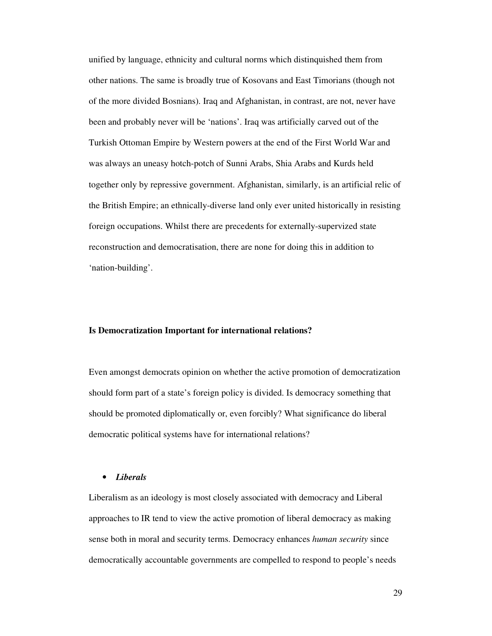unified by language, ethnicity and cultural norms which distinquished them from other nations. The same is broadly true of Kosovans and East Timorians (though not of the more divided Bosnians). Iraq and Afghanistan, in contrast, are not, never have been and probably never will be 'nations'. Iraq was artificially carved out of the Turkish Ottoman Empire by Western powers at the end of the First World War and was always an uneasy hotch-potch of Sunni Arabs, Shia Arabs and Kurds held together only by repressive government. Afghanistan, similarly, is an artificial relic of the British Empire; an ethnically-diverse land only ever united historically in resisting foreign occupations. Whilst there are precedents for externally-supervized state reconstruction and democratisation, there are none for doing this in addition to 'nation-building'.

#### **Is Democratization Important for international relations?**

Even amongst democrats opinion on whether the active promotion of democratization should form part of a state's foreign policy is divided. Is democracy something that should be promoted diplomatically or, even forcibly? What significance do liberal democratic political systems have for international relations?

## • *Liberals*

Liberalism as an ideology is most closely associated with democracy and Liberal approaches to IR tend to view the active promotion of liberal democracy as making sense both in moral and security terms. Democracy enhances *human security* since democratically accountable governments are compelled to respond to people's needs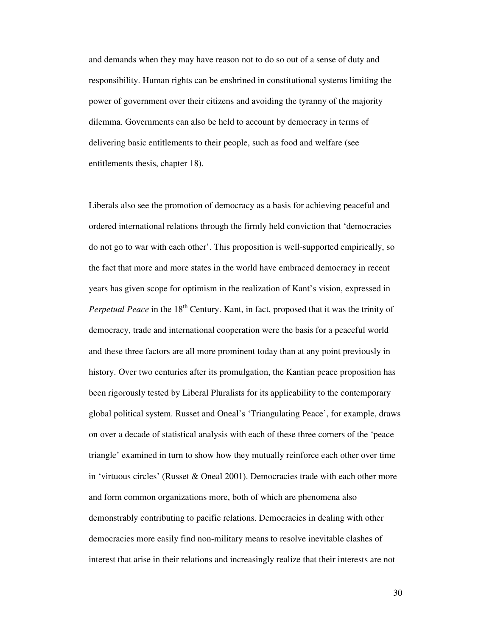and demands when they may have reason not to do so out of a sense of duty and responsibility. Human rights can be enshrined in constitutional systems limiting the power of government over their citizens and avoiding the tyranny of the majority dilemma. Governments can also be held to account by democracy in terms of delivering basic entitlements to their people, such as food and welfare (see entitlements thesis, chapter 18).

Liberals also see the promotion of democracy as a basis for achieving peaceful and ordered international relations through the firmly held conviction that 'democracies do not go to war with each other'. This proposition is well-supported empirically, so the fact that more and more states in the world have embraced democracy in recent years has given scope for optimism in the realization of Kant's vision, expressed in *Perpetual Peace* in the 18<sup>th</sup> Century. Kant, in fact, proposed that it was the trinity of democracy, trade and international cooperation were the basis for a peaceful world and these three factors are all more prominent today than at any point previously in history. Over two centuries after its promulgation, the Kantian peace proposition has been rigorously tested by Liberal Pluralists for its applicability to the contemporary global political system. Russet and Oneal's 'Triangulating Peace', for example, draws on over a decade of statistical analysis with each of these three corners of the 'peace triangle' examined in turn to show how they mutually reinforce each other over time in 'virtuous circles' (Russet & Oneal 2001). Democracies trade with each other more and form common organizations more, both of which are phenomena also demonstrably contributing to pacific relations. Democracies in dealing with other democracies more easily find non-military means to resolve inevitable clashes of interest that arise in their relations and increasingly realize that their interests are not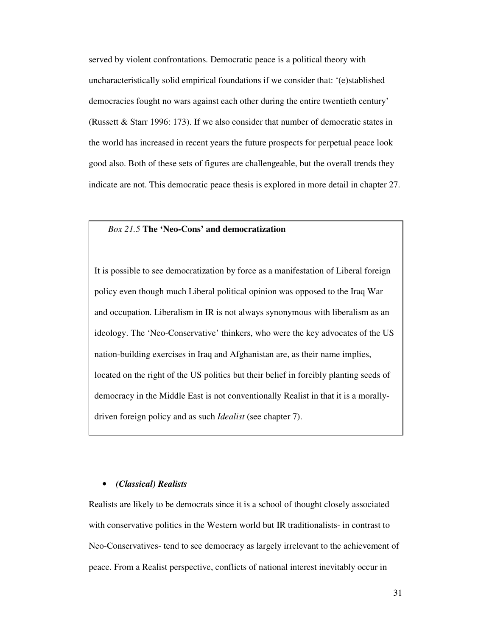served by violent confrontations. Democratic peace is a political theory with uncharacteristically solid empirical foundations if we consider that: '(e)stablished democracies fought no wars against each other during the entire twentieth century' (Russett & Starr 1996: 173). If we also consider that number of democratic states in the world has increased in recent years the future prospects for perpetual peace look good also. Both of these sets of figures are challengeable, but the overall trends they indicate are not. This democratic peace thesis is explored in more detail in chapter 27.

## *Box 21.5* **The 'Neo-Cons' and democratization**

It is possible to see democratization by force as a manifestation of Liberal foreign policy even though much Liberal political opinion was opposed to the Iraq War and occupation. Liberalism in IR is not always synonymous with liberalism as an ideology. The 'Neo-Conservative' thinkers, who were the key advocates of the US nation-building exercises in Iraq and Afghanistan are, as their name implies, located on the right of the US politics but their belief in forcibly planting seeds of democracy in the Middle East is not conventionally Realist in that it is a morallydriven foreign policy and as such *Idealist* (see chapter 7).

## • *(Classical) Realists*

Realists are likely to be democrats since it is a school of thought closely associated with conservative politics in the Western world but IR traditionalists- in contrast to Neo-Conservatives- tend to see democracy as largely irrelevant to the achievement of peace. From a Realist perspective, conflicts of national interest inevitably occur in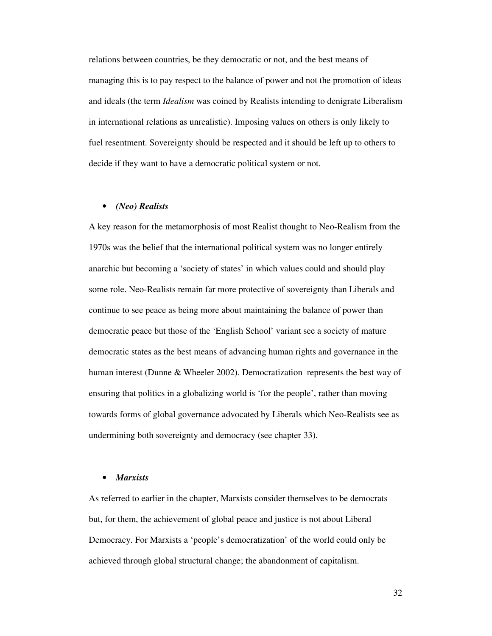relations between countries, be they democratic or not, and the best means of managing this is to pay respect to the balance of power and not the promotion of ideas and ideals (the term *Idealism* was coined by Realists intending to denigrate Liberalism in international relations as unrealistic). Imposing values on others is only likely to fuel resentment. Sovereignty should be respected and it should be left up to others to decide if they want to have a democratic political system or not.

#### • *(Neo) Realists*

A key reason for the metamorphosis of most Realist thought to Neo-Realism from the 1970s was the belief that the international political system was no longer entirely anarchic but becoming a 'society of states' in which values could and should play some role. Neo-Realists remain far more protective of sovereignty than Liberals and continue to see peace as being more about maintaining the balance of power than democratic peace but those of the 'English School' variant see a society of mature democratic states as the best means of advancing human rights and governance in the human interest (Dunne & Wheeler 2002). Democratization represents the best way of ensuring that politics in a globalizing world is 'for the people', rather than moving towards forms of global governance advocated by Liberals which Neo-Realists see as undermining both sovereignty and democracy (see chapter 33).

## • *Marxists*

As referred to earlier in the chapter, Marxists consider themselves to be democrats but, for them, the achievement of global peace and justice is not about Liberal Democracy. For Marxists a 'people's democratization' of the world could only be achieved through global structural change; the abandonment of capitalism.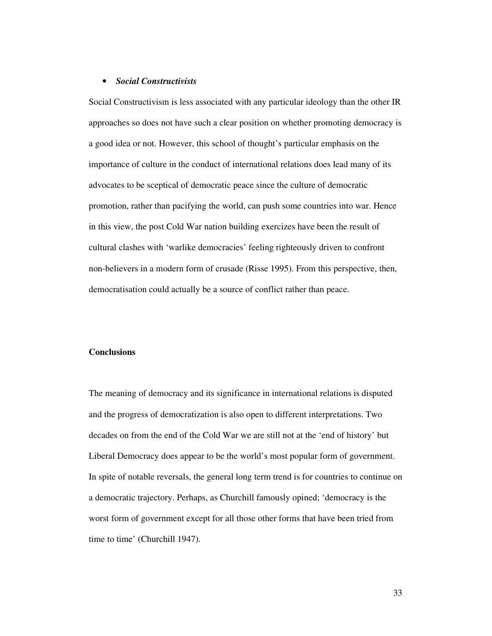## • *Social Constructivists*

Social Constructivism is less associated with any particular ideology than the other IR approaches so does not have such a clear position on whether promoting democracy is a good idea or not. However, this school of thought's particular emphasis on the importance of culture in the conduct of international relations does lead many of its advocates to be sceptical of democratic peace since the culture of democratic promotion, rather than pacifying the world, can push some countries into war. Hence in this view, the post Cold War nation building exercizes have been the result of cultural clashes with 'warlike democracies' feeling righteously driven to confront non-believers in a modern form of crusade (Risse 1995). From this perspective, then, democratisation could actually be a source of conflict rather than peace.

#### **Conclusions**

The meaning of democracy and its significance in international relations is disputed and the progress of democratization is also open to different interpretations. Two decades on from the end of the Cold War we are still not at the 'end of history' but Liberal Democracy does appear to be the world's most popular form of government. In spite of notable reversals, the general long term trend is for countries to continue on a democratic trajectory. Perhaps, as Churchill famously opined; 'democracy is the worst form of government except for all those other forms that have been tried from time to time' (Churchill 1947).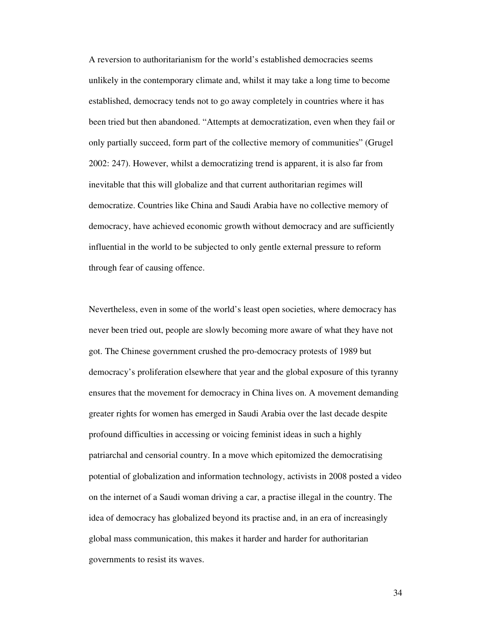A reversion to authoritarianism for the world's established democracies seems unlikely in the contemporary climate and, whilst it may take a long time to become established, democracy tends not to go away completely in countries where it has been tried but then abandoned. "Attempts at democratization, even when they fail or only partially succeed, form part of the collective memory of communities" (Grugel 2002: 247). However, whilst a democratizing trend is apparent, it is also far from inevitable that this will globalize and that current authoritarian regimes will democratize. Countries like China and Saudi Arabia have no collective memory of democracy, have achieved economic growth without democracy and are sufficiently influential in the world to be subjected to only gentle external pressure to reform through fear of causing offence.

Nevertheless, even in some of the world's least open societies, where democracy has never been tried out, people are slowly becoming more aware of what they have not got. The Chinese government crushed the pro-democracy protests of 1989 but democracy's proliferation elsewhere that year and the global exposure of this tyranny ensures that the movement for democracy in China lives on. A movement demanding greater rights for women has emerged in Saudi Arabia over the last decade despite profound difficulties in accessing or voicing feminist ideas in such a highly patriarchal and censorial country. In a move which epitomized the democratising potential of globalization and information technology, activists in 2008 posted a video on the internet of a Saudi woman driving a car, a practise illegal in the country. The idea of democracy has globalized beyond its practise and, in an era of increasingly global mass communication, this makes it harder and harder for authoritarian governments to resist its waves.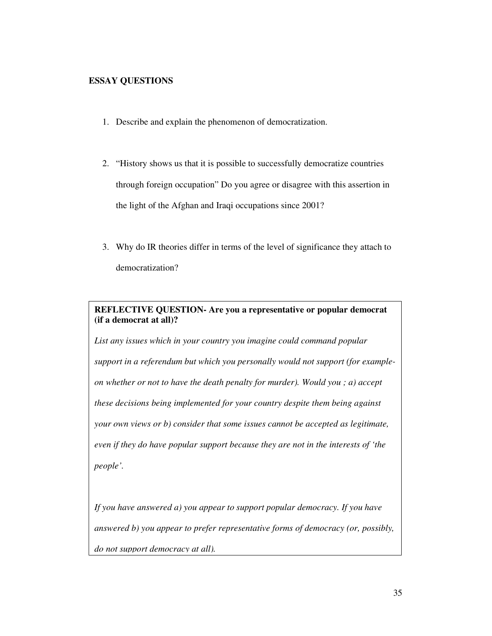## **ESSAY QUESTIONS**

- 1. Describe and explain the phenomenon of democratization.
- 2. "History shows us that it is possible to successfully democratize countries through foreign occupation" Do you agree or disagree with this assertion in the light of the Afghan and Iraqi occupations since 2001?
- 3. Why do IR theories differ in terms of the level of significance they attach to democratization?

## **REFLECTIVE QUESTION- Are you a representative or popular democrat (if a democrat at all)?**

*List any issues which in your country you imagine could command popular support in a referendum but which you personally would not support (for exampleon whether or not to have the death penalty for murder). Would you ; a) accept these decisions being implemented for your country despite them being against your own views or b) consider that some issues cannot be accepted as legitimate, even if they do have popular support because they are not in the interests of 'the people'.* 

*If you have answered a) you appear to support popular democracy. If you have answered b) you appear to prefer representative forms of democracy (or, possibly, do not support democracy at all).*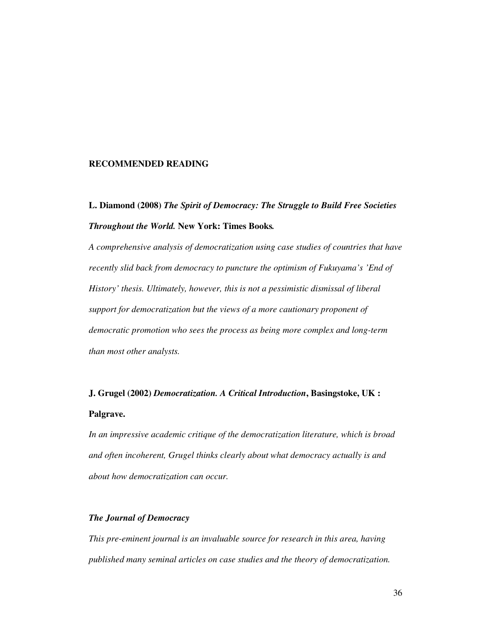## **RECOMMENDED READING**

## **L. Diamond (2008)** *The Spirit of Democracy: The Struggle to Build Free Societies Throughout the World.* **New York: Times Books***.*

*A comprehensive analysis of democratization using case studies of countries that have recently slid back from democracy to puncture the optimism of Fukuyama's 'End of History' thesis. Ultimately, however, this is not a pessimistic dismissal of liberal support for democratization but the views of a more cautionary proponent of democratic promotion who sees the process as being more complex and long-term than most other analysts.* 

## **J. Grugel (2002)** *Democratization. A Critical Introduction***, Basingstoke, UK : Palgrave.**

*In an impressive academic critique of the democratization literature, which is broad and often incoherent, Grugel thinks clearly about what democracy actually is and about how democratization can occur.* 

## *The Journal of Democracy*

*This pre-eminent journal is an invaluable source for research in this area, having published many seminal articles on case studies and the theory of democratization.*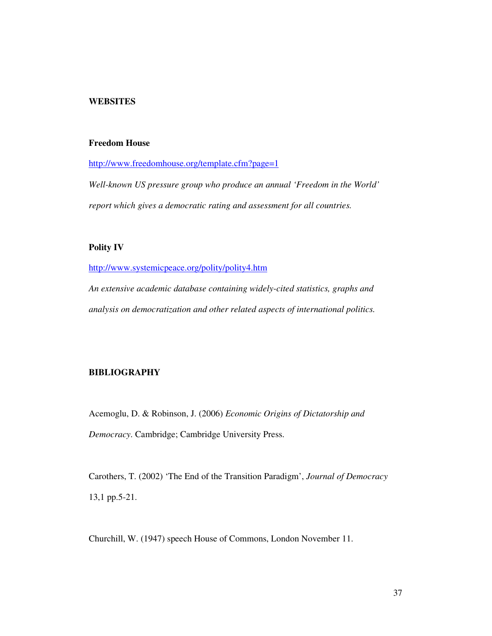## **WEBSITES**

## **Freedom House**

http://www.freedomhouse.org/template.cfm?page=1

*Well-known US pressure group who produce an annual 'Freedom in the World' report which gives a democratic rating and assessment for all countries.* 

## **Polity IV**

http://www.systemicpeace.org/polity/polity4.htm

*An extensive academic database containing widely-cited statistics, graphs and analysis on democratization and other related aspects of international politics.* 

## **BIBLIOGRAPHY**

Acemoglu, D. & Robinson, J. (2006) *Economic Origins of Dictatorship and Democracy*. Cambridge; Cambridge University Press.

Carothers, T. (2002) 'The End of the Transition Paradigm', *Journal of Democracy*  13,1 pp.5-21.

Churchill, W. (1947) speech House of Commons, London November 11.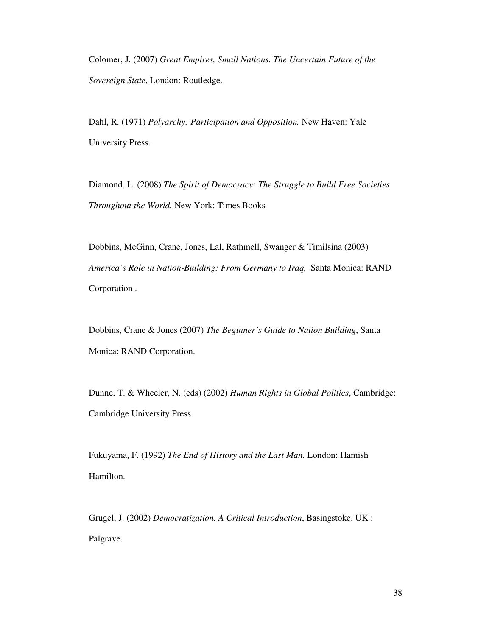Colomer, J. (2007) *Great Empires, Small Nations. The Uncertain Future of the Sovereign State*, London: Routledge.

Dahl, R. (1971) *Polyarchy: Participation and Opposition.* New Haven: Yale University Press.

Diamond, L. (2008) *The Spirit of Democracy: The Struggle to Build Free Societies Throughout the World.* New York: Times Books*.* 

Dobbins, McGinn, Crane, Jones, Lal, Rathmell, Swanger & Timilsina (2003) *America's Role in Nation-Building: From Germany to Iraq,* Santa Monica: RAND Corporation .

Dobbins, Crane & Jones (2007) *The Beginner's Guide to Nation Building*, Santa Monica: RAND Corporation.

Dunne, T. & Wheeler, N. (eds) (2002) *Human Rights in Global Politics*, Cambridge: Cambridge University Press.

Fukuyama, F. (1992) *The End of History and the Last Man.* London: Hamish Hamilton.

Grugel, J. (2002) *Democratization. A Critical Introduction*, Basingstoke, UK : Palgrave.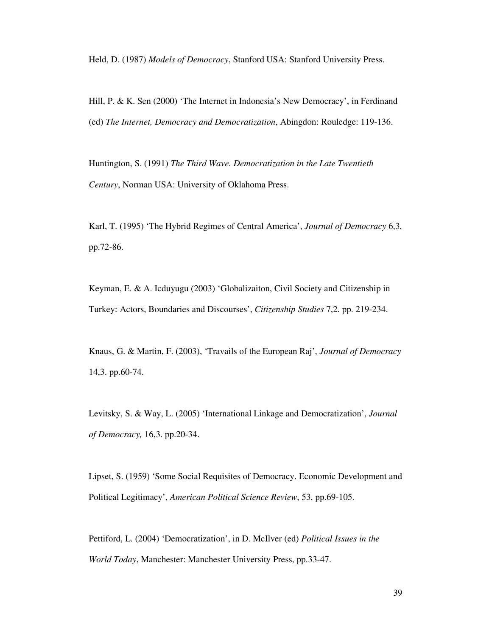Held, D. (1987) *Models of Democracy*, Stanford USA: Stanford University Press.

Hill, P. & K. Sen (2000) 'The Internet in Indonesia's New Democracy', in Ferdinand (ed) *The Internet, Democracy and Democratization*, Abingdon: Rouledge: 119-136.

Huntington, S. (1991) *The Third Wave. Democratization in the Late Twentieth Century*, Norman USA: University of Oklahoma Press.

Karl, T. (1995) 'The Hybrid Regimes of Central America', *Journal of Democracy* 6,3, pp.72-86.

Keyman, E. & A. Icduyugu (2003) 'Globalizaiton, Civil Society and Citizenship in Turkey: Actors, Boundaries and Discourses', *Citizenship Studies* 7,2. pp. 219-234.

Knaus, G. & Martin, F. (2003), 'Travails of the European Raj', *Journal of Democracy* 14,3. pp.60-74.

Levitsky, S. & Way, L. (2005) 'International Linkage and Democratization', *Journal of Democracy,* 16,3. pp.20-34.

Lipset, S. (1959) 'Some Social Requisites of Democracy. Economic Development and Political Legitimacy', *American Political Science Review*, 53, pp.69-105.

Pettiford, L. (2004) 'Democratization', in D. McIlver (ed) *Political Issues in the World Today*, Manchester: Manchester University Press, pp.33-47.